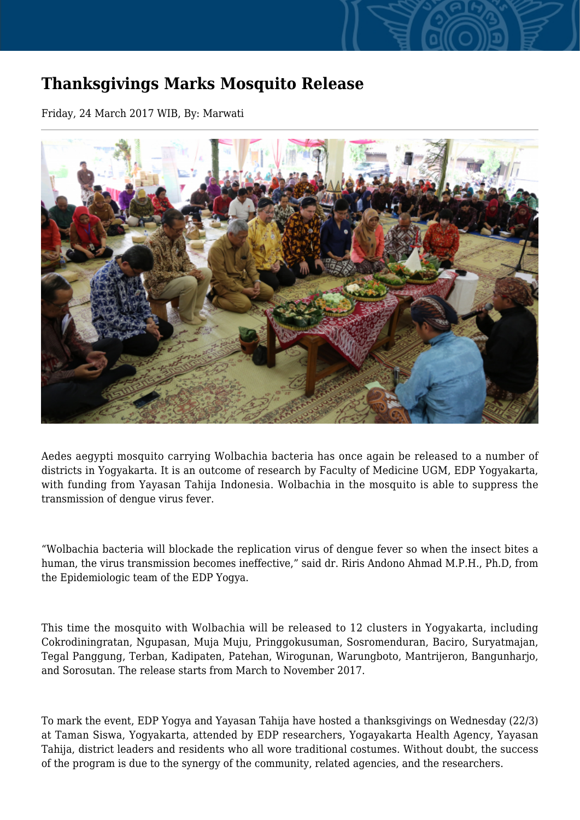## **Thanksgivings Marks Mosquito Release**

Friday, 24 March 2017 WIB, By: Marwati



Aedes aegypti mosquito carrying Wolbachia bacteria has once again be released to a number of districts in Yogyakarta. It is an outcome of research by Faculty of Medicine UGM, EDP Yogyakarta, with funding from Yayasan Tahija Indonesia. Wolbachia in the mosquito is able to suppress the transmission of dengue virus fever.

"Wolbachia bacteria will blockade the replication virus of dengue fever so when the insect bites a human, the virus transmission becomes ineffective," said dr. Riris Andono Ahmad M.P.H., Ph.D, from the Epidemiologic team of the EDP Yogya.

This time the mosquito with Wolbachia will be released to 12 clusters in Yogyakarta, including Cokrodiningratan, Ngupasan, Muja Muju, Pringgokusuman, Sosromenduran, Baciro, Suryatmajan, Tegal Panggung, Terban, Kadipaten, Patehan, Wirogunan, Warungboto, Mantrijeron, Bangunharjo, and Sorosutan. The release starts from March to November 2017.

To mark the event, EDP Yogya and Yayasan Tahija have hosted a thanksgivings on Wednesday (22/3) at Taman Siswa, Yogyakarta, attended by EDP researchers, Yogayakarta Health Agency, Yayasan Tahija, district leaders and residents who all wore traditional costumes. Without doubt, the success of the program is due to the synergy of the community, related agencies, and the researchers.